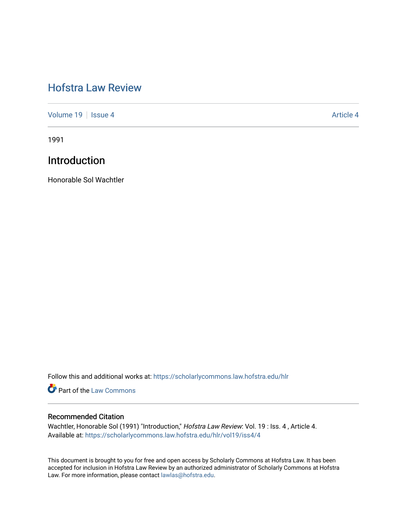# [Hofstra Law Review](https://scholarlycommons.law.hofstra.edu/hlr)

[Volume 19](https://scholarlycommons.law.hofstra.edu/hlr/vol19) | [Issue 4](https://scholarlycommons.law.hofstra.edu/hlr/vol19/iss4) Article 4

1991

## Introduction

Honorable Sol Wachtler

Follow this and additional works at: [https://scholarlycommons.law.hofstra.edu/hlr](https://scholarlycommons.law.hofstra.edu/hlr?utm_source=scholarlycommons.law.hofstra.edu%2Fhlr%2Fvol19%2Fiss4%2F4&utm_medium=PDF&utm_campaign=PDFCoverPages)

**Part of the [Law Commons](http://network.bepress.com/hgg/discipline/578?utm_source=scholarlycommons.law.hofstra.edu%2Fhlr%2Fvol19%2Fiss4%2F4&utm_medium=PDF&utm_campaign=PDFCoverPages)** 

### Recommended Citation

Wachtler, Honorable Sol (1991) "Introduction," Hofstra Law Review: Vol. 19 : Iss. 4, Article 4. Available at: [https://scholarlycommons.law.hofstra.edu/hlr/vol19/iss4/4](https://scholarlycommons.law.hofstra.edu/hlr/vol19/iss4/4?utm_source=scholarlycommons.law.hofstra.edu%2Fhlr%2Fvol19%2Fiss4%2F4&utm_medium=PDF&utm_campaign=PDFCoverPages)

This document is brought to you for free and open access by Scholarly Commons at Hofstra Law. It has been accepted for inclusion in Hofstra Law Review by an authorized administrator of Scholarly Commons at Hofstra Law. For more information, please contact [lawlas@hofstra.edu.](mailto:lawlas@hofstra.edu)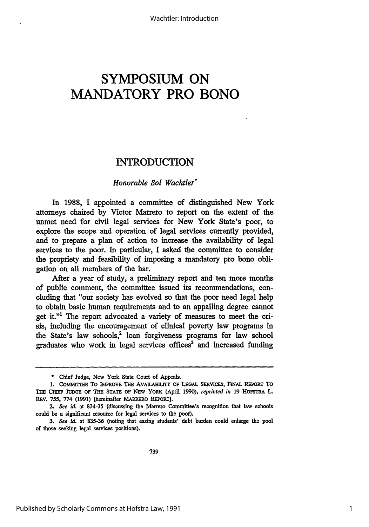# **SYMPOSIUM ON MANDATORY PRO BONO**

## INTRODUCTION

#### *Honorable Sol Wachtler\**

In 1988, I appointed a committee of distinguished New York attorneys chaired by Victor Marrero to report on the extent of the unmet need for civil legal services for New York State's poor, to explore the scope and operation of legal services currently provided, and to prepare a plan of action to increase the availability of legal services to the poor. In particular, I asked the committee to consider the propriety and feasibility of imposing a mandatory pro bono obligation on all members of the bar.

After a year of study, a preliminary report and ten more months of public comment, the committee issued its recommendations, concluding that "our society has evolved so that the poor need legal help to obtain basic human requirements and to an appalling degree cannot get it."1 The report advocated a variety of measures to meet the crisis, including the encouragement of clinical poverty law programs in the State's law schools,? loan forgiveness programs for law school graduates who work in legal services offices<sup>3</sup> and increased funding

<sup>\*</sup> Chief Judge, New York State Court of Appeals.

**<sup>1.</sup> COMMIfrEE** To IMPROVE **T1E** AVAILABILITY OF LEGAL SERVICES, *F NAL* REPORT TO **T1m CHalm JUDGE OF TBE STATE** OF **NEW** YORK (April **1990),** *reprinted in* **19** HoFsTRA L. REV. **755, 774 (1991)** [hereinafter **MARRERO REPORT].**

<sup>2.</sup> *See id.* at **834-35** (discussing the Marrero Committee's recognition that law schools could be a significant resource for legal services to the poor).

**<sup>3.</sup>** *See id.* at **835-36** (noting that easing students' debt burden could enlarge the pool of those seeking legal services positions).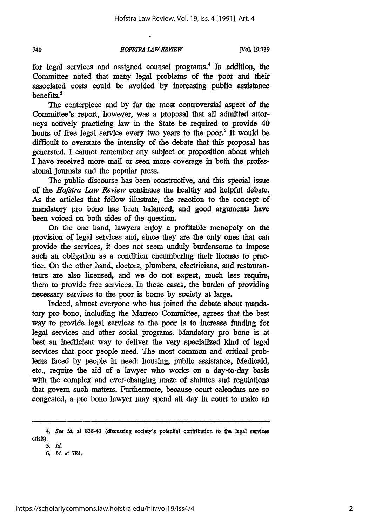*HOFSTRA L4WREVIEW*

**[Vol. 19:739**

for legal services and assigned counsel programs.4 In addition, the Committee noted that many legal problems of the poor and their associated costs could be avoided **by** increasing public assistance benefits.<sup>5</sup>

The centerpiece and **by** far the most controversial aspect of the Committee's report, however, was a proposal that all admitted attorneys actively practicing law in the State be required to provide 40 hours of free legal service every two years to the poor.<sup>6</sup> It would be difficult to overstate the intensity of the debate that this proposal has generated. I cannot remember any subject or proposition about which I have received more mail or seen more coverage in both the professional journals and the popular press.

The public discourse has been constructive, and this special issue of the *Hofstra Law Review* continues the healthy and helpful debate. As the articles that follow illustrate, the reaction to the concept of mandatory pro bono has been balanced, and good arguments have been voiced on both sides of the question.

On the one hand, lawyers enjoy a profitable monopoly on the provision of legal services and, since they are the only ones that can provide the services, it does not seem unduly burdensome to impose such an obligation as a condition encumbering their license to practice. On the other hand, doctors, plumbers, electricians, and restauranteurs are also licensed, and we do not expect, much less require, them to provide free services. In those cases, the burden of providing necessary services to the poor is borne by society at large.

Indeed, almost everyone who has joined the debate about mandatory pro bono, including the Marrero Committee, agrees that the best way to provide legal services to the poor is to increase funding for legal services and other social programs. Mandatory pro bono is at best an inefficient way to deliver the very specialized kind of legal services that poor people need. The most common and critical problems faced by people in need: housing, public assistance, Medicaid, etc., require the aid of a lawyer who works on a day-to-day basis with the complex and ever-changing maze of statutes and regulations that govern such matters. Furthermore, because court calendars are so congested, a pro bono lawyer may spend all day in court to make an

740

*<sup>4.</sup> See 1d.* **at 838-41** (discussing society's potential contribution to the legal services crisis).

*<sup>5.</sup> Id.*

*<sup>6.</sup> Id.* **at** 784.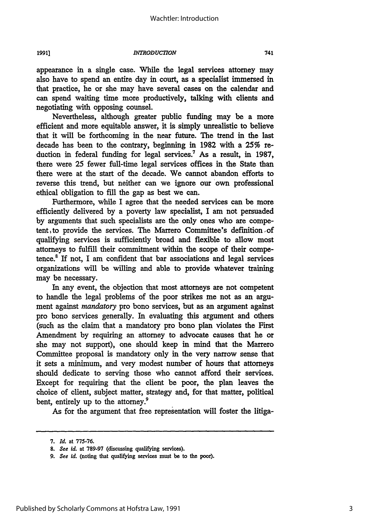*1991)*

#### *INTRODUCTION*

appearance in a single case. While the legal services attorney may also have to spend an entire day in court, as a specialist immersed in that practice, he or she may have several cases on the calendar and can spend waiting time more productively, talking with clients and negotiating with opposing counsel.

Nevertheless, although greater public funding may be a more efficient and more equitable answer, it is simply unrealistic to believe that it will be forthcoming in the near future. The trend in the last decade has been to the contrary, beginning in **1982** with a 25% reduction in federal funding for legal services.<sup>7</sup> As a result, in 1987, there were 25 fewer full-time legal services offices in the State than there were at the start of the decade. We cannot abandon efforts to reverse this trend, but neither can we ignore our own professional ethical obligation to fill the gap as best we can.

Furthermore, while I agree that the needed services can be more efficiently delivered by a poverty law specialist, I am not persuaded by arguments that such specialists are the only ones who are competent, to provide the services. The Marrero Committee's definition of qualifying services is sufficiently broad and flexible to allow most attorneys to fulfill their commitment within the scope of their competence.8 If not, I am confident that bar associations and legal services organizations will be willing and able to provide whatever training may be necessary.

In any event, the objection that most attorneys are not competent to handle the legal problems of the poor strikes me not as an argument against *mandatory* pro bono services, but as an argument against pro bono services generally. In evaluating this argument and others (such as the claim that a mandatory pro bono plan violates the First Amendment by requiring an attorney to advocate causes that he or she may not support), one should keep in mind that the Marrero Committee proposal is mandatory only in the very narrow sense that it sets a minimum, and very modest number of hours that attorneys should dedicate to serving those who cannot afford their services. Except for requiring that the client be poor, the plan leaves the choice of client, subject matter, strategy and, for that matter, political bent, entirely up to the attorney.<sup>9</sup>

As for the argument that free representation will foster the litiga-

741

*<sup>7.</sup> Id.* at **775-76.**

*<sup>8.</sup> See 1d.* **at 789-97** (discussing qualifying services).

*<sup>9.</sup> See Id.* (noting that qualifying services must be to the poor).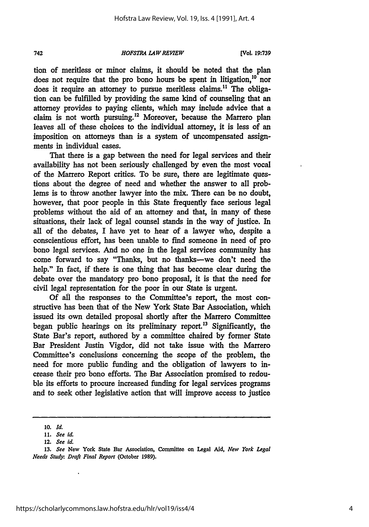742

#### *HOFSTRA LAW REVIEW*

**[VCol, 19:739**

tion of meritless or minor claims, it should be noted that the plan does not require that the pro bono hours be spent in litigation,  $10$  nor does it require an attorney to pursue meritless claims.11 The obliga**tion** can be fulfilled **by** providing the same kind of counseling that an attorney provides to paying clients, which may include advice that a claim is not worth pursuing.'2 Moreover, because the Marrero plan leaves all of these choices to the individual attorney, it is less of an imposition on attorneys than is a system of uncompensated assignments in individual cases.

That there is a gap between the need for legal services and their availability has not been seriously challenged by even the most vocal of the Marrero Report critics. To be sure, there are legitimate questions about the degree of need and whether the answer to all problems is to throw another lawyer into the mix. There can be no doubt, however, that poor people in this State frequently face serious legal problems without the aid of an attorney and that, in many of these situations, their lack of legal counsel stands in the way of justice. In all of the debates, I have yet to hear of a lawyer who, despite a conscientious effort, has been unable to find someone in need of pro bono legal services. And no one in the legal services community has come forward to say "Thanks, but no thanks-we don't need the help." In fact, if there is one thing that has become clear during the debate over the mandatory pro bono proposal, it is that the need for civil legal representation for the poor in our State is urgent.

**Of** all the responses to the Committee's report, the most constructive has been that of the New York State Bar Association, which issued its own detailed proposal shortly after the Marrero Committee began public hearings on its preliminary report.<sup>13</sup> Significantly, the State Bar's report, authored **by** a committee chaired **by** former State Bar President Justin Vigdor, did not take issue with the Marrero Committee's conclusions concerning the scope of the problem, the need for more public funding and the obligation of lawyers to increase their pro bono efforts. The Bar Association promised to redouble its efforts to procure increased funding for legal services programs and to seek other legislative action that will improve access to justice

**<sup>10.</sup>** *Id.*

*<sup>11.</sup> See id*

**<sup>12.</sup>** *See* id.

**<sup>13.</sup>** *See* New York **State** Bar **Association, Committee on Legal Aid,** *New York* Legal *Needs Study: Draft Final Report* (October **1989).**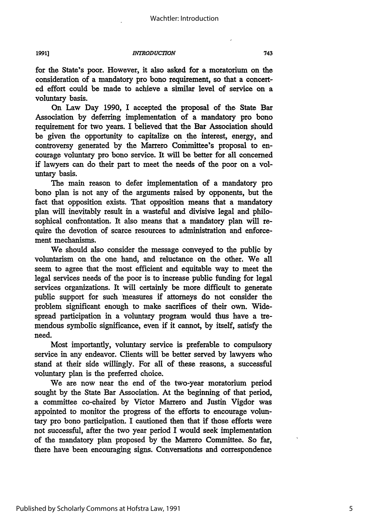**INTRODUCTION** 

Published by Scholarly Commons at Hofstra Law, 1991

for the State's poor. However, it also asked for a moratorium on the consideration of a mandatory pro bono requirement, so that a concerted effort could be made to achieve a similar level of service on a voluntary basis.

On Law Day **1990, I** accepted the proposal of the State Bar Association by deferring implementation of a mandatory pro bono requirement for two years. I believed that the Bar Association should be given the opportunity to capitalize on the interest, energy, and controversy generated by the Marrero Conmnittee's proposal to encourage voluntary pro bono service. It will be better for all concerned if lawyers can do their part to meet the needs of the poor on a voluntary basis.

The main reason to defer implementation of a mandatory pro bono plan is not any of the arguments raised by opponents, but the fact that opposition exists. That opposition means that a mandatory plan will inevitably result in a wasteful and divisive legal and philosophical confrontation. It also means that a mandatory plan will require the devotion of scarce resources to administration and enforcement mechanisms.

We should also consider the message conveyed to the public by voluntarism on the one hand, and reluctance on the other. We all seem to agree that the most efficient and equitable way to meet the legal services needs of the poor is to increase public funding for legal services organizations. It will certainly be more difficult to generate public support for such measures if attorneys do not consider the problem significant enough to make sacrifices of their own. Widespread participation in a voluntary program would thus have a tremendous symbolic significance, even if it cannot, by itself, satisfy the need.

Most importantly, voluntary service is preferable to compulsory service in any endeavor. Clients will be better served by lawyers who stand at their side willingly. For all of these reasons, a successful voluntary plan is the preferred choice.

We are now near the end of the two-year moratorium period sought by the State Bar Association. At the beginning of that period, a committee co-chaired by Victor Marrero and Justin Vigdor was appointed to monitor the progress of the efforts to encourage voluntary pro bono participation. I cautioned then that if those efforts were not successful, after the two year period I would seek implementation of the mandatory plan proposed by the Marrero Committee. So far, there have been encouraging signs. Conversations and correspondence

**1991]**